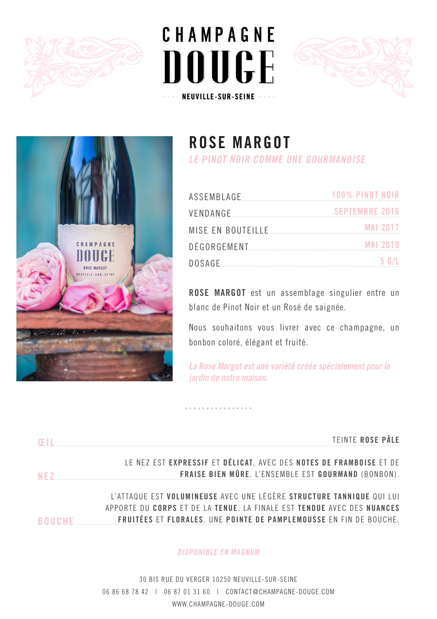







## **ROSE MARGOT**

**LE PINOT NOIR COMME UNE GOURMANDISE**

| ASSEMBLAGE [1994] | $100\%$ pinot noir    |
|-------------------|-----------------------|
| VENDANGE          | <b>SEPTEMBRE 2016</b> |
|                   |                       |
|                   |                       |
|                   | 5 G/L                 |

**ROSE MARGOT** est un assemblage singulier entre un blanc de Pinot Noir et un Rosé de saignée.

Nous souhaitons vous livrer avec ce champagne, un bonbon coloré, élégant et fruité.

**La Rose Margot est une variété créée spécialement pour le jardin de notre maison.**

| <b>FII</b>    | TEINTE ROSE PÂLE                                                                                                                                                                                                     |
|---------------|----------------------------------------------------------------------------------------------------------------------------------------------------------------------------------------------------------------------|
| NF 7          | LE NEZ EST EXPRESSIF ET DÉLICAT, AVEC DES NOTES DE FRAMBOISE ET DE<br>FRAISE BIEN MÛRE. L'ENSEMBLE EST GOURMAND (BONBON).                                                                                            |
| <b>ROUCHE</b> | L'ATTAQUE EST VOLUMINEUSE AVEC UNE LÉGÈRE STRUCTURE TANNIQUE QUI LUI<br>APPORTE DU CORPS ET DE LA TENUE. LA FINALE EST TENDUE AVEC DES NUANCES<br>FRUITÉES ET FLORALES. UNE POINTE DE PAMPLEMOUSSE EN FIN DE BOUCHE. |

### **DISPONIBLE EN MAGNUM**

30 BIS RUE DU VERGER 10250 NEUVILLE-SUR-SEINE 06 86 68 78 42 | 06 87 01 31 60 | CONTACT@CHAMPAGNE-DOUGE.COM WWW.CHAMPAGNE-DOUGE.COM